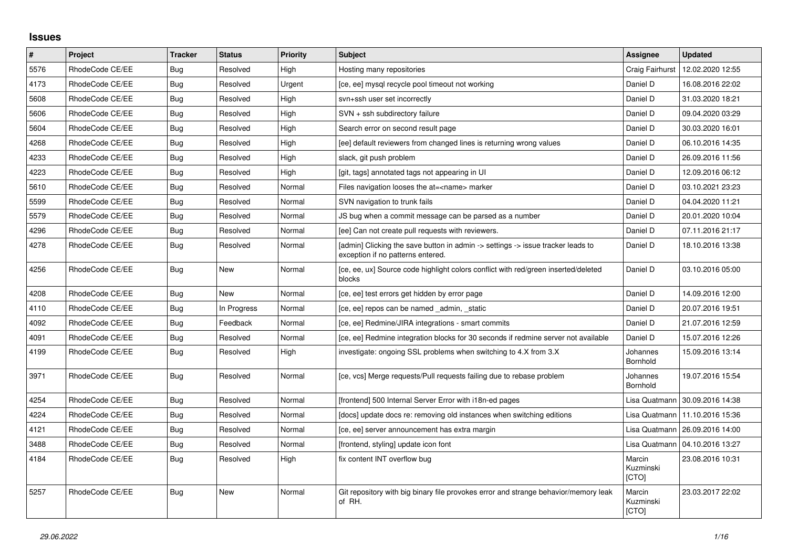## **Issues**

| $\vert$ # | <b>Project</b>  | <b>Tracker</b> | <b>Status</b> | Priority | <b>Subject</b>                                                                                                       | Assignee                     | <b>Updated</b>                   |
|-----------|-----------------|----------------|---------------|----------|----------------------------------------------------------------------------------------------------------------------|------------------------------|----------------------------------|
| 5576      | RhodeCode CE/EE | Bug            | Resolved      | High     | Hosting many repositories                                                                                            | Craig Fairhurst              | 12.02.2020 12:55                 |
| 4173      | RhodeCode CE/EE | Bug            | Resolved      | Urgent   | [ce, ee] mysql recycle pool timeout not working                                                                      | Daniel D                     | 16.08.2016 22:02                 |
| 5608      | RhodeCode CE/EE | Bug            | Resolved      | High     | svn+ssh user set incorrectly                                                                                         | Daniel D                     | 31.03.2020 18:21                 |
| 5606      | RhodeCode CE/EE | Bug            | Resolved      | High     | SVN + ssh subdirectory failure                                                                                       | Daniel D                     | 09.04.2020 03:29                 |
| 5604      | RhodeCode CE/EE | <b>Bug</b>     | Resolved      | High     | Search error on second result page                                                                                   | Daniel D                     | 30.03.2020 16:01                 |
| 4268      | RhodeCode CE/EE | Bug            | Resolved      | High     | [ee] default reviewers from changed lines is returning wrong values                                                  | Daniel D                     | 06.10.2016 14:35                 |
| 4233      | RhodeCode CE/EE | Bug            | Resolved      | High     | slack, git push problem                                                                                              | Daniel D                     | 26.09.2016 11:56                 |
| 4223      | RhodeCode CE/EE | Bug            | Resolved      | High     | [git, tags] annotated tags not appearing in UI                                                                       | Daniel D                     | 12.09.2016 06:12                 |
| 5610      | RhodeCode CE/EE | Bug            | Resolved      | Normal   | Files navigation looses the at= <name> marker</name>                                                                 | Daniel D                     | 03.10.2021 23:23                 |
| 5599      | RhodeCode CE/EE | Bug            | Resolved      | Normal   | SVN navigation to trunk fails                                                                                        | Daniel D                     | 04.04.2020 11:21                 |
| 5579      | RhodeCode CE/EE | <b>Bug</b>     | Resolved      | Normal   | JS bug when a commit message can be parsed as a number                                                               | Daniel D                     | 20.01.2020 10:04                 |
| 4296      | RhodeCode CE/EE | Bug            | Resolved      | Normal   | [ee] Can not create pull requests with reviewers.                                                                    | Daniel D                     | 07.11.2016 21:17                 |
| 4278      | RhodeCode CE/EE | Bug            | Resolved      | Normal   | [admin] Clicking the save button in admin -> settings -> issue tracker leads to<br>exception if no patterns entered. | Daniel D                     | 18.10.2016 13:38                 |
| 4256      | RhodeCode CE/EE | Bug            | <b>New</b>    | Normal   | [ce, ee, ux] Source code highlight colors conflict with red/green inserted/deleted<br>blocks                         | Daniel D                     | 03.10.2016 05:00                 |
| 4208      | RhodeCode CE/EE | Bug            | New           | Normal   | [ce, ee] test errors get hidden by error page                                                                        | Daniel D                     | 14.09.2016 12:00                 |
| 4110      | RhodeCode CE/EE | Bug            | In Progress   | Normal   | [ce, ee] repos can be named admin, static                                                                            | Daniel D                     | 20.07.2016 19:51                 |
| 4092      | RhodeCode CE/EE | Bug            | Feedback      | Normal   | [ce, ee] Redmine/JIRA integrations - smart commits                                                                   | Daniel D                     | 21.07.2016 12:59                 |
| 4091      | RhodeCode CE/EE | Bug            | Resolved      | Normal   | [ce, ee] Redmine integration blocks for 30 seconds if redmine server not available                                   | Daniel D                     | 15.07.2016 12:26                 |
| 4199      | RhodeCode CE/EE | Bug            | Resolved      | High     | investigate: ongoing SSL problems when switching to 4.X from 3.X                                                     | Johannes<br>Bornhold         | 15.09.2016 13:14                 |
| 3971      | RhodeCode CE/EE | Bug            | Resolved      | Normal   | [ce, vcs] Merge requests/Pull requests failing due to rebase problem                                                 | Johannes<br>Bornhold         | 19.07.2016 15:54                 |
| 4254      | RhodeCode CE/EE | Bug            | Resolved      | Normal   | [frontend] 500 Internal Server Error with i18n-ed pages                                                              | Lisa Quatmann                | 30.09.2016 14:38                 |
| 4224      | RhodeCode CE/EE | Bug            | Resolved      | Normal   | [docs] update docs re: removing old instances when switching editions                                                | Lisa Quatmann                | 11.10.2016 15:36                 |
| 4121      | RhodeCode CE/EE | Bug            | Resolved      | Normal   | [ce, ee] server announcement has extra margin                                                                        |                              | Lisa Quatmann   26.09.2016 14:00 |
| 3488      | RhodeCode CE/EE | Bug            | Resolved      | Normal   | [frontend, styling] update icon font                                                                                 |                              | Lisa Quatmann   04.10.2016 13:27 |
| 4184      | RhodeCode CE/EE | Bug            | Resolved      | High     | fix content INT overflow bug                                                                                         | Marcin<br>Kuzminski<br>[CTO] | 23.08.2016 10:31                 |
| 5257      | RhodeCode CE/EE | Bug            | <b>New</b>    | Normal   | Git repository with big binary file provokes error and strange behavior/memory leak<br>of RH.                        | Marcin<br>Kuzminski<br>[CTO] | 23.03.2017 22:02                 |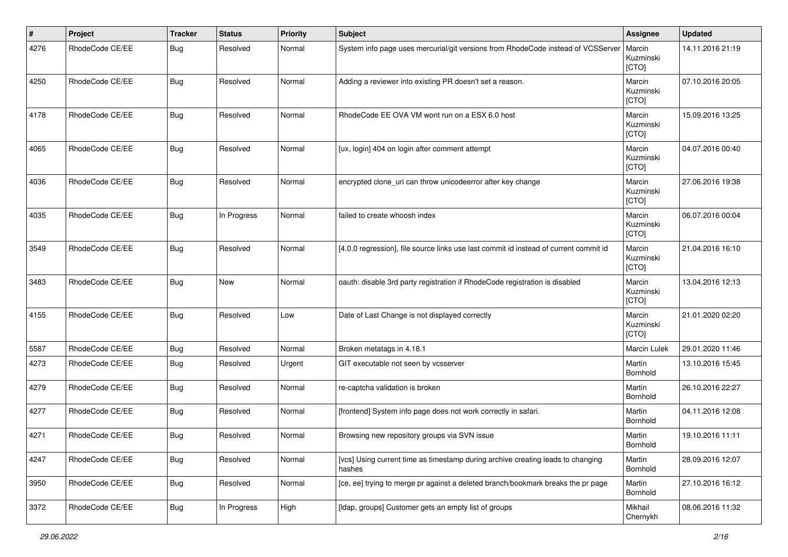| $\sharp$ | Project         | <b>Tracker</b> | <b>Status</b> | <b>Priority</b> | <b>Subject</b>                                                                            | Assignee                     | <b>Updated</b>   |
|----------|-----------------|----------------|---------------|-----------------|-------------------------------------------------------------------------------------------|------------------------------|------------------|
| 4276     | RhodeCode CE/EE | Bug            | Resolved      | Normal          | System info page uses mercurial/git versions from RhodeCode instead of VCSServer          | Marcin<br>Kuzminski<br>[CTO] | 14.11.2016 21:19 |
| 4250     | RhodeCode CE/EE | Bug            | Resolved      | Normal          | Adding a reviewer into existing PR doesn't set a reason.                                  | Marcin<br>Kuzminski<br>[CTO] | 07.10.2016 20:05 |
| 4178     | RhodeCode CE/EE | Bug            | Resolved      | Normal          | RhodeCode EE OVA VM wont run on a ESX 6.0 host                                            | Marcin<br>Kuzminski<br>[CTO] | 15.09.2016 13:25 |
| 4065     | RhodeCode CE/EE | Bug            | Resolved      | Normal          | [ux, login] 404 on login after comment attempt                                            | Marcin<br>Kuzminski<br>[CTO] | 04.07.2016 00:40 |
| 4036     | RhodeCode CE/EE | Bug            | Resolved      | Normal          | encrypted clone_uri can throw unicodeerror after key change                               | Marcin<br>Kuzminski<br>[CTO] | 27.06.2016 19:38 |
| 4035     | RhodeCode CE/EE | Bug            | In Progress   | Normal          | failed to create whoosh index                                                             | Marcin<br>Kuzminski<br>[CTO] | 06.07.2016 00:04 |
| 3549     | RhodeCode CE/EE | Bug            | Resolved      | Normal          | [4.0.0 regression], file source links use last commit id instead of current commit id     | Marcin<br>Kuzminski<br>[CTO] | 21.04.2016 16:10 |
| 3483     | RhodeCode CE/EE | Bug            | New           | Normal          | oauth: disable 3rd party registration if RhodeCode registration is disabled               | Marcin<br>Kuzminski<br>[CTO] | 13.04.2016 12:13 |
| 4155     | RhodeCode CE/EE | <b>Bug</b>     | Resolved      | Low             | Date of Last Change is not displayed correctly                                            | Marcin<br>Kuzminski<br>[CTO] | 21.01.2020 02:20 |
| 5587     | RhodeCode CE/EE | <b>Bug</b>     | Resolved      | Normal          | Broken metatags in 4.18.1                                                                 | Marcin Lulek                 | 29.01.2020 11:46 |
| 4273     | RhodeCode CE/EE | <b>Bug</b>     | Resolved      | Urgent          | GIT executable not seen by vcsserver                                                      | Martin<br>Bornhold           | 13.10.2016 15:45 |
| 4279     | RhodeCode CE/EE | <b>Bug</b>     | Resolved      | Normal          | re-captcha validation is broken                                                           | Martin<br>Bornhold           | 26.10.2016 22:27 |
| 4277     | RhodeCode CE/EE | Bug            | Resolved      | Normal          | [frontend] System info page does not work correctly in safari.                            | Martin<br>Bornhold           | 04.11.2016 12:08 |
| 4271     | RhodeCode CE/EE | <b>Bug</b>     | Resolved      | Normal          | Browsing new repository groups via SVN issue                                              | Martin<br>Bornhold           | 19.10.2016 11:11 |
| 4247     | RhodeCode CE/EE | Bug            | Resolved      | Normal          | [vcs] Using current time as timestamp during archive creating leads to changing<br>hashes | Martin<br>Bornhold           | 28.09.2016 12:07 |
| 3950     | RhodeCode CE/EE | <b>Bug</b>     | Resolved      | Normal          | [ce, ee] trying to merge pr against a deleted branch/bookmark breaks the pr page          | Martin<br>Bornhold           | 27.10.2016 16:12 |
| 3372     | RhodeCode CE/EE | <b>Bug</b>     | In Progress   | High            | [Idap, groups] Customer gets an empty list of groups                                      | Mikhail<br>Chernykh          | 08.06.2016 11:32 |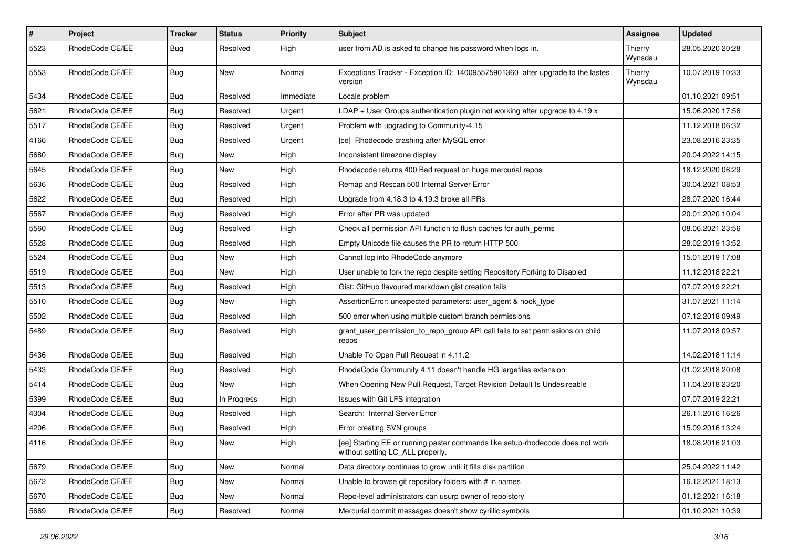| #    | Project         | <b>Tracker</b> | <b>Status</b> | <b>Priority</b> | <b>Subject</b>                                                                                                     | <b>Assignee</b>    | <b>Updated</b>   |
|------|-----------------|----------------|---------------|-----------------|--------------------------------------------------------------------------------------------------------------------|--------------------|------------------|
| 5523 | RhodeCode CE/EE | Bug            | Resolved      | High            | user from AD is asked to change his password when logs in.                                                         | Thierry<br>Wynsdau | 28.05.2020 20:28 |
| 5553 | RhodeCode CE/EE | Bug            | <b>New</b>    | Normal          | Exceptions Tracker - Exception ID: 140095575901360 after upgrade to the lastes<br>version                          | Thierry<br>Wynsdau | 10.07.2019 10:33 |
| 5434 | RhodeCode CE/EE | Bug            | Resolved      | Immediate       | Locale problem                                                                                                     |                    | 01.10.2021 09:51 |
| 5621 | RhodeCode CE/EE | <b>Bug</b>     | Resolved      | Urgent          | LDAP + User Groups authentication plugin not working after upgrade to 4.19.x                                       |                    | 15.06.2020 17:56 |
| 5517 | RhodeCode CE/EE | Bug            | Resolved      | Urgent          | Problem with upgrading to Community-4.15                                                                           |                    | 11.12.2018 06:32 |
| 4166 | RhodeCode CE/EE | Bug            | Resolved      | Urgent          | [ce] Rhodecode crashing after MySQL error                                                                          |                    | 23.08.2016 23:35 |
| 5680 | RhodeCode CE/EE | Bug            | New           | High            | Inconsistent timezone display                                                                                      |                    | 20.04.2022 14:15 |
| 5645 | RhodeCode CE/EE | Bug            | <b>New</b>    | High            | Rhodecode returns 400 Bad request on huge mercurial repos                                                          |                    | 18.12.2020 06:29 |
| 5636 | RhodeCode CE/EE | <b>Bug</b>     | Resolved      | High            | Remap and Rescan 500 Internal Server Error                                                                         |                    | 30.04.2021 08:53 |
| 5622 | RhodeCode CE/EE | Bug            | Resolved      | High            | Upgrade from 4.18.3 to 4.19.3 broke all PRs                                                                        |                    | 28.07.2020 16:44 |
| 5567 | RhodeCode CE/EE | Bug            | Resolved      | High            | Error after PR was updated                                                                                         |                    | 20.01.2020 10:04 |
| 5560 | RhodeCode CE/EE | Bug            | Resolved      | High            | Check all permission API function to flush caches for auth_perms                                                   |                    | 08.06.2021 23:56 |
| 5528 | RhodeCode CE/EE | Bug            | Resolved      | High            | Empty Unicode file causes the PR to return HTTP 500                                                                |                    | 28.02.2019 13:52 |
| 5524 | RhodeCode CE/EE | Bug            | New           | High            | Cannot log into RhodeCode anymore                                                                                  |                    | 15.01.2019 17:08 |
| 5519 | RhodeCode CE/EE | Bug            | New           | High            | User unable to fork the repo despite setting Repository Forking to Disabled                                        |                    | 11.12.2018 22:21 |
| 5513 | RhodeCode CE/EE | Bug            | Resolved      | High            | Gist: GitHub flavoured markdown gist creation fails                                                                |                    | 07.07.2019 22:21 |
| 5510 | RhodeCode CE/EE | Bug            | New           | High            | AssertionError: unexpected parameters: user_agent & hook_type                                                      |                    | 31.07.2021 11:14 |
| 5502 | RhodeCode CE/EE | Bug            | Resolved      | High            | 500 error when using multiple custom branch permissions                                                            |                    | 07.12.2018 09:49 |
| 5489 | RhodeCode CE/EE | Bug            | Resolved      | High            | grant_user_permission_to_repo_group API call fails to set permissions on child<br>repos                            |                    | 11.07.2018 09:57 |
| 5436 | RhodeCode CE/EE | Bug            | Resolved      | High            | Unable To Open Pull Request in 4.11.2                                                                              |                    | 14.02.2018 11:14 |
| 5433 | RhodeCode CE/EE | Bug            | Resolved      | High            | RhodeCode Community 4.11 doesn't handle HG largefiles extension                                                    |                    | 01.02.2018 20:08 |
| 5414 | RhodeCode CE/EE | Bug            | New           | High            | When Opening New Pull Request, Target Revision Default Is Undesireable                                             |                    | 11.04.2018 23:20 |
| 5399 | RhodeCode CE/EE | Bug            | In Progress   | High            | Issues with Git LFS integration                                                                                    |                    | 07.07.2019 22:21 |
| 4304 | RhodeCode CE/EE | Bug            | Resolved      | High            | Search: Internal Server Error                                                                                      |                    | 26.11.2016 16:26 |
| 4206 | RhodeCode CE/EE | Bug            | Resolved      | High            | Error creating SVN groups                                                                                          |                    | 15.09.2016 13:24 |
| 4116 | RhodeCode CE/EE | Bug            | New           | High            | [ee] Starting EE or running paster commands like setup-rhodecode does not work<br>without setting LC_ALL properly. |                    | 18.08.2016 21:03 |
| 5679 | RhodeCode CE/EE | Bug            | New           | Normal          | Data directory continues to grow until it fills disk partition                                                     |                    | 25.04.2022 11:42 |
| 5672 | RhodeCode CE/EE | <b>Bug</b>     | New           | Normal          | Unable to browse git repository folders with # in names                                                            |                    | 16.12.2021 18:13 |
| 5670 | RhodeCode CE/EE | Bug            | New           | Normal          | Repo-level administrators can usurp owner of repoistory                                                            |                    | 01.12.2021 16:18 |
| 5669 | RhodeCode CE/EE | <b>Bug</b>     | Resolved      | Normal          | Mercurial commit messages doesn't show cyrillic symbols                                                            |                    | 01.10.2021 10:39 |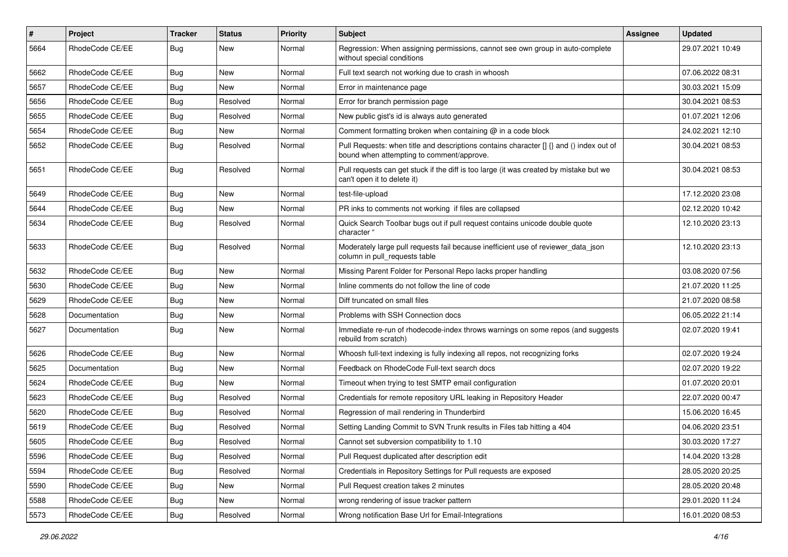| #    | Project         | <b>Tracker</b> | <b>Status</b> | <b>Priority</b> | <b>Subject</b>                                                                                                                       | <b>Assignee</b> | <b>Updated</b>   |
|------|-----------------|----------------|---------------|-----------------|--------------------------------------------------------------------------------------------------------------------------------------|-----------------|------------------|
| 5664 | RhodeCode CE/EE | Bug            | New           | Normal          | Regression: When assigning permissions, cannot see own group in auto-complete<br>without special conditions                          |                 | 29.07.2021 10:49 |
| 5662 | RhodeCode CE/EE | <b>Bug</b>     | New           | Normal          | Full text search not working due to crash in whoosh                                                                                  |                 | 07.06.2022 08:31 |
| 5657 | RhodeCode CE/EE | Bug            | <b>New</b>    | Normal          | Error in maintenance page                                                                                                            |                 | 30.03.2021 15:09 |
| 5656 | RhodeCode CE/EE | Bug            | Resolved      | Normal          | Error for branch permission page                                                                                                     |                 | 30.04.2021 08:53 |
| 5655 | RhodeCode CE/EE | Bug            | Resolved      | Normal          | New public gist's id is always auto generated                                                                                        |                 | 01.07.2021 12:06 |
| 5654 | RhodeCode CE/EE | Bug            | <b>New</b>    | Normal          | Comment formatting broken when containing @ in a code block                                                                          |                 | 24.02.2021 12:10 |
| 5652 | RhodeCode CE/EE | Bug            | Resolved      | Normal          | Pull Requests: when title and descriptions contains character [] {} and () index out of<br>bound when attempting to comment/approve. |                 | 30.04.2021 08:53 |
| 5651 | RhodeCode CE/EE | Bug            | Resolved      | Normal          | Pull requests can get stuck if the diff is too large (it was created by mistake but we<br>can't open it to delete it)                |                 | 30.04.2021 08:53 |
| 5649 | RhodeCode CE/EE | <b>Bug</b>     | New           | Normal          | test-file-upload                                                                                                                     |                 | 17.12.2020 23:08 |
| 5644 | RhodeCode CE/EE | Bug            | <b>New</b>    | Normal          | PR inks to comments not working if files are collapsed                                                                               |                 | 02.12.2020 10:42 |
| 5634 | RhodeCode CE/EE | Bug            | Resolved      | Normal          | Quick Search Toolbar bugs out if pull request contains unicode double quote<br>character "                                           |                 | 12.10.2020 23:13 |
| 5633 | RhodeCode CE/EE | Bug            | Resolved      | Normal          | Moderately large pull requests fail because inefficient use of reviewer_data_json<br>column in pull requests table                   |                 | 12.10.2020 23:13 |
| 5632 | RhodeCode CE/EE | Bug            | <b>New</b>    | Normal          | Missing Parent Folder for Personal Repo lacks proper handling                                                                        |                 | 03.08.2020 07:56 |
| 5630 | RhodeCode CE/EE | Bug            | New           | Normal          | Inline comments do not follow the line of code                                                                                       |                 | 21.07.2020 11:25 |
| 5629 | RhodeCode CE/EE | Bug            | New           | Normal          | Diff truncated on small files                                                                                                        |                 | 21.07.2020 08:58 |
| 5628 | Documentation   | Bug            | <b>New</b>    | Normal          | Problems with SSH Connection docs                                                                                                    |                 | 06.05.2022 21:14 |
| 5627 | Documentation   | Bug            | New           | Normal          | Immediate re-run of rhodecode-index throws warnings on some repos (and suggests<br>rebuild from scratch)                             |                 | 02.07.2020 19:41 |
| 5626 | RhodeCode CE/EE | Bug            | New           | Normal          | Whoosh full-text indexing is fully indexing all repos, not recognizing forks                                                         |                 | 02.07.2020 19:24 |
| 5625 | Documentation   | <b>Bug</b>     | New           | Normal          | Feedback on RhodeCode Full-text search docs                                                                                          |                 | 02.07.2020 19:22 |
| 5624 | RhodeCode CE/EE | Bug            | <b>New</b>    | Normal          | Timeout when trying to test SMTP email configuration                                                                                 |                 | 01.07.2020 20:01 |
| 5623 | RhodeCode CE/EE | Bug            | Resolved      | Normal          | Credentials for remote repository URL leaking in Repository Header                                                                   |                 | 22.07.2020 00:47 |
| 5620 | RhodeCode CE/EE | Bug            | Resolved      | Normal          | Regression of mail rendering in Thunderbird                                                                                          |                 | 15.06.2020 16:45 |
| 5619 | RhodeCode CE/EE | Bug            | Resolved      | Normal          | Setting Landing Commit to SVN Trunk results in Files tab hitting a 404                                                               |                 | 04.06.2020 23:51 |
| 5605 | RhodeCode CE/EE | Bug            | Resolved      | Normal          | Cannot set subversion compatibility to 1.10                                                                                          |                 | 30.03.2020 17:27 |
| 5596 | RhodeCode CE/EE | Bug            | Resolved      | Normal          | Pull Request duplicated after description edit                                                                                       |                 | 14.04.2020 13:28 |
| 5594 | RhodeCode CE/EE | <b>Bug</b>     | Resolved      | Normal          | Credentials in Repository Settings for Pull requests are exposed                                                                     |                 | 28.05.2020 20:25 |
| 5590 | RhodeCode CE/EE | <b>Bug</b>     | New           | Normal          | Pull Request creation takes 2 minutes                                                                                                |                 | 28.05.2020 20:48 |
| 5588 | RhodeCode CE/EE | Bug            | New           | Normal          | wrong rendering of issue tracker pattern                                                                                             |                 | 29.01.2020 11:24 |
| 5573 | RhodeCode CE/EE | Bug            | Resolved      | Normal          | Wrong notification Base Url for Email-Integrations                                                                                   |                 | 16.01.2020 08:53 |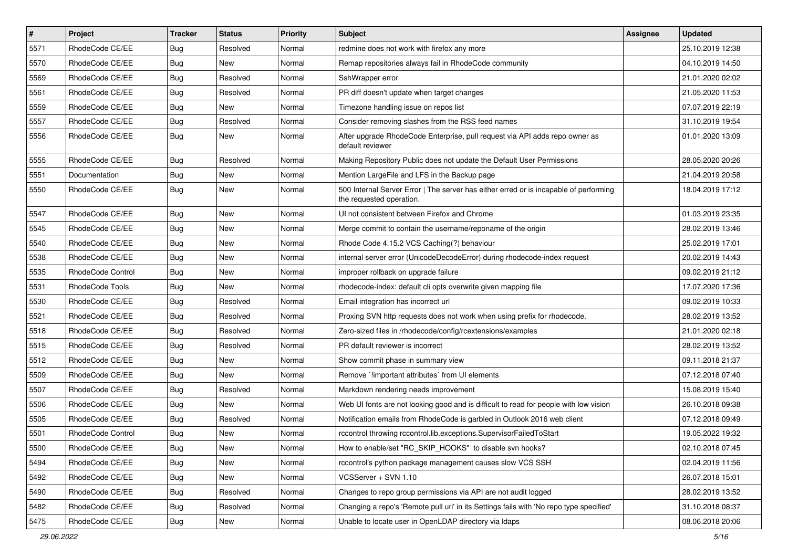| $\#$ | Project                  | <b>Tracker</b> | <b>Status</b> | <b>Priority</b> | Subject                                                                                                           | <b>Assignee</b> | <b>Updated</b>   |
|------|--------------------------|----------------|---------------|-----------------|-------------------------------------------------------------------------------------------------------------------|-----------------|------------------|
| 5571 | RhodeCode CE/EE          | <b>Bug</b>     | Resolved      | Normal          | redmine does not work with firefox any more                                                                       |                 | 25.10.2019 12:38 |
| 5570 | RhodeCode CE/EE          | <b>Bug</b>     | New           | Normal          | Remap repositories always fail in RhodeCode community                                                             |                 | 04.10.2019 14:50 |
| 5569 | RhodeCode CE/EE          | <b>Bug</b>     | Resolved      | Normal          | SshWrapper error                                                                                                  |                 | 21.01.2020 02:02 |
| 5561 | RhodeCode CE/EE          | <b>Bug</b>     | Resolved      | Normal          | PR diff doesn't update when target changes                                                                        |                 | 21.05.2020 11:53 |
| 5559 | RhodeCode CE/EE          | Bug            | New           | Normal          | Timezone handling issue on repos list                                                                             |                 | 07.07.2019 22:19 |
| 5557 | RhodeCode CE/EE          | <b>Bug</b>     | Resolved      | Normal          | Consider removing slashes from the RSS feed names                                                                 |                 | 31.10.2019 19:54 |
| 5556 | RhodeCode CE/EE          | <b>Bug</b>     | New           | Normal          | After upgrade RhodeCode Enterprise, pull request via API adds repo owner as<br>default reviewer                   |                 | 01.01.2020 13:09 |
| 5555 | RhodeCode CE/EE          | <b>Bug</b>     | Resolved      | Normal          | Making Repository Public does not update the Default User Permissions                                             |                 | 28.05.2020 20:26 |
| 5551 | Documentation            | <b>Bug</b>     | New           | Normal          | Mention LargeFile and LFS in the Backup page                                                                      |                 | 21.04.2019 20:58 |
| 5550 | RhodeCode CE/EE          | Bug            | New           | Normal          | 500 Internal Server Error   The server has either erred or is incapable of performing<br>the requested operation. |                 | 18.04.2019 17:12 |
| 5547 | RhodeCode CE/EE          | Bug            | New           | Normal          | UI not consistent between Firefox and Chrome                                                                      |                 | 01.03.2019 23:35 |
| 5545 | RhodeCode CE/EE          | <b>Bug</b>     | New           | Normal          | Merge commit to contain the username/reponame of the origin                                                       |                 | 28.02.2019 13:46 |
| 5540 | RhodeCode CE/EE          | <b>Bug</b>     | New           | Normal          | Rhode Code 4.15.2 VCS Caching(?) behaviour                                                                        |                 | 25.02.2019 17:01 |
| 5538 | RhodeCode CE/EE          | Bug            | <b>New</b>    | Normal          | internal server error (UnicodeDecodeError) during rhodecode-index request                                         |                 | 20.02.2019 14:43 |
| 5535 | RhodeCode Control        | <b>Bug</b>     | New           | Normal          | improper rollback on upgrade failure                                                                              |                 | 09.02.2019 21:12 |
| 5531 | RhodeCode Tools          | <b>Bug</b>     | New           | Normal          | rhodecode-index: default cli opts overwrite given mapping file                                                    |                 | 17.07.2020 17:36 |
| 5530 | RhodeCode CE/EE          | Bug            | Resolved      | Normal          | Email integration has incorrect url                                                                               |                 | 09.02.2019 10:33 |
| 5521 | RhodeCode CE/EE          | <b>Bug</b>     | Resolved      | Normal          | Proxing SVN http requests does not work when using prefix for rhodecode.                                          |                 | 28.02.2019 13:52 |
| 5518 | RhodeCode CE/EE          | Bug            | Resolved      | Normal          | Zero-sized files in /rhodecode/config/rcextensions/examples                                                       |                 | 21.01.2020 02:18 |
| 5515 | RhodeCode CE/EE          | <b>Bug</b>     | Resolved      | Normal          | PR default reviewer is incorrect                                                                                  |                 | 28.02.2019 13:52 |
| 5512 | RhodeCode CE/EE          | <b>Bug</b>     | New           | Normal          | Show commit phase in summary view                                                                                 |                 | 09.11.2018 21:37 |
| 5509 | RhodeCode CE/EE          | Bug            | New           | Normal          | Remove `limportant attributes` from UI elements                                                                   |                 | 07.12.2018 07:40 |
| 5507 | RhodeCode CE/EE          | Bug            | Resolved      | Normal          | Markdown rendering needs improvement                                                                              |                 | 15.08.2019 15:40 |
| 5506 | RhodeCode CE/EE          | Bug            | New           | Normal          | Web UI fonts are not looking good and is difficult to read for people with low vision                             |                 | 26.10.2018 09:38 |
| 5505 | RhodeCode CE/EE          | <b>Bug</b>     | Resolved      | Normal          | Notification emails from RhodeCode is garbled in Outlook 2016 web client                                          |                 | 07.12.2018 09:49 |
| 5501 | <b>RhodeCode Control</b> | Bug            | New           | Normal          | rccontrol throwing rccontrol.lib.exceptions.SupervisorFailedToStart                                               |                 | 19.05.2022 19:32 |
| 5500 | RhodeCode CE/EE          | <b>Bug</b>     | New           | Normal          | How to enable/set "RC_SKIP_HOOKS" to disable svn hooks?                                                           |                 | 02.10.2018 07:45 |
| 5494 | RhodeCode CE/EE          | Bug            | New           | Normal          | rccontrol's python package management causes slow VCS SSH                                                         |                 | 02.04.2019 11:56 |
| 5492 | RhodeCode CE/EE          | Bug            | New           | Normal          | VCSServer + SVN 1.10                                                                                              |                 | 26.07.2018 15:01 |
| 5490 | RhodeCode CE/EE          | <b>Bug</b>     | Resolved      | Normal          | Changes to repo group permissions via API are not audit logged                                                    |                 | 28.02.2019 13:52 |
| 5482 | RhodeCode CE/EE          | <b>Bug</b>     | Resolved      | Normal          | Changing a repo's 'Remote pull uri' in its Settings fails with 'No repo type specified'                           |                 | 31.10.2018 08:37 |
| 5475 | RhodeCode CE/EE          | Bug            | New           | Normal          | Unable to locate user in OpenLDAP directory via Idaps                                                             |                 | 08.06.2018 20:06 |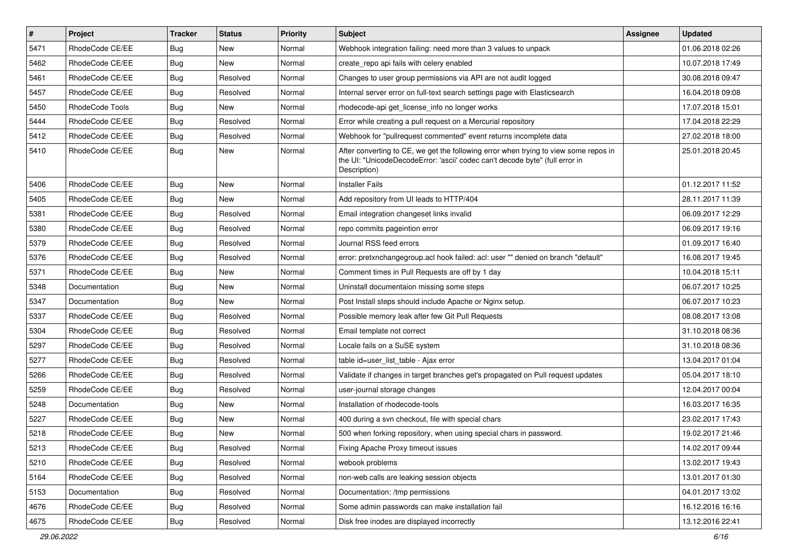| $\pmb{\#}$ | Project         | <b>Tracker</b> | <b>Status</b> | <b>Priority</b> | <b>Subject</b>                                                                                                                                                                       | Assignee | <b>Updated</b>   |
|------------|-----------------|----------------|---------------|-----------------|--------------------------------------------------------------------------------------------------------------------------------------------------------------------------------------|----------|------------------|
| 5471       | RhodeCode CE/EE | <b>Bug</b>     | New           | Normal          | Webhook integration failing: need more than 3 values to unpack                                                                                                                       |          | 01.06.2018 02:26 |
| 5462       | RhodeCode CE/EE | Bug            | <b>New</b>    | Normal          | create repo api fails with celery enabled                                                                                                                                            |          | 10.07.2018 17:49 |
| 5461       | RhodeCode CE/EE | <b>Bug</b>     | Resolved      | Normal          | Changes to user group permissions via API are not audit logged                                                                                                                       |          | 30.08.2018 09:47 |
| 5457       | RhodeCode CE/EE | <b>Bug</b>     | Resolved      | Normal          | Internal server error on full-text search settings page with Elasticsearch                                                                                                           |          | 16.04.2018 09:08 |
| 5450       | RhodeCode Tools | <b>Bug</b>     | <b>New</b>    | Normal          | rhodecode-api get_license_info no longer works                                                                                                                                       |          | 17.07.2018 15:01 |
| 5444       | RhodeCode CE/EE | <b>Bug</b>     | Resolved      | Normal          | Error while creating a pull request on a Mercurial repository                                                                                                                        |          | 17.04.2018 22:29 |
| 5412       | RhodeCode CE/EE | <b>Bug</b>     | Resolved      | Normal          | Webhook for "pullrequest commented" event returns incomplete data                                                                                                                    |          | 27.02.2018 18:00 |
| 5410       | RhodeCode CE/EE | <b>Bug</b>     | New           | Normal          | After converting to CE, we get the following error when trying to view some repos in<br>the UI: "UnicodeDecodeError: 'ascii' codec can't decode byte" (full error in<br>Description) |          | 25.01.2018 20:45 |
| 5406       | RhodeCode CE/EE | <b>Bug</b>     | New           | Normal          | <b>Installer Fails</b>                                                                                                                                                               |          | 01.12.2017 11:52 |
| 5405       | RhodeCode CE/EE | <b>Bug</b>     | New           | Normal          | Add repository from UI leads to HTTP/404                                                                                                                                             |          | 28.11.2017 11:39 |
| 5381       | RhodeCode CE/EE | <b>Bug</b>     | Resolved      | Normal          | Email integration changeset links invalid                                                                                                                                            |          | 06.09.2017 12:29 |
| 5380       | RhodeCode CE/EE | <b>Bug</b>     | Resolved      | Normal          | repo commits pageintion error                                                                                                                                                        |          | 06.09.2017 19:16 |
| 5379       | RhodeCode CE/EE | <b>Bug</b>     | Resolved      | Normal          | Journal RSS feed errors                                                                                                                                                              |          | 01.09.2017 16:40 |
| 5376       | RhodeCode CE/EE | <b>Bug</b>     | Resolved      | Normal          | error: pretxnchangegroup.acl hook failed: acl: user "" denied on branch "default"                                                                                                    |          | 16.08.2017 19:45 |
| 5371       | RhodeCode CE/EE | <b>Bug</b>     | New           | Normal          | Comment times in Pull Requests are off by 1 day                                                                                                                                      |          | 10.04.2018 15:11 |
| 5348       | Documentation   | <b>Bug</b>     | New           | Normal          | Uninstall documentaion missing some steps                                                                                                                                            |          | 06.07.2017 10:25 |
| 5347       | Documentation   | <b>Bug</b>     | New           | Normal          | Post Install steps should include Apache or Nginx setup.                                                                                                                             |          | 06.07.2017 10:23 |
| 5337       | RhodeCode CE/EE | <b>Bug</b>     | Resolved      | Normal          | Possible memory leak after few Git Pull Requests                                                                                                                                     |          | 08.08.2017 13:08 |
| 5304       | RhodeCode CE/EE | Bug            | Resolved      | Normal          | Email template not correct                                                                                                                                                           |          | 31.10.2018 08:36 |
| 5297       | RhodeCode CE/EE | <b>Bug</b>     | Resolved      | Normal          | Locale fails on a SuSE system                                                                                                                                                        |          | 31.10.2018 08:36 |
| 5277       | RhodeCode CE/EE | <b>Bug</b>     | Resolved      | Normal          | table id=user_list_table - Ajax error                                                                                                                                                |          | 13.04.2017 01:04 |
| 5266       | RhodeCode CE/EE | <b>Bug</b>     | Resolved      | Normal          | Validate if changes in target branches get's propagated on Pull request updates                                                                                                      |          | 05.04.2017 18:10 |
| 5259       | RhodeCode CE/EE | <b>Bug</b>     | Resolved      | Normal          | user-journal storage changes                                                                                                                                                         |          | 12.04.2017 00:04 |
| 5248       | Documentation   | <b>Bug</b>     | New           | Normal          | Installation of rhodecode-tools                                                                                                                                                      |          | 16.03.2017 16:35 |
| 5227       | RhodeCode CE/EE | <b>Bug</b>     | New           | Normal          | 400 during a svn checkout, file with special chars                                                                                                                                   |          | 23.02.2017 17:43 |
| 5218       | RhodeCode CE/EE | Bug            | New           | Normal          | 500 when forking repository, when using special chars in password.                                                                                                                   |          | 19.02.2017 21:46 |
| 5213       | RhodeCode CE/EE | <b>Bug</b>     | Resolved      | Normal          | Fixing Apache Proxy timeout issues                                                                                                                                                   |          | 14.02.2017 09:44 |
| 5210       | RhodeCode CE/EE | Bug            | Resolved      | Normal          | webook problems                                                                                                                                                                      |          | 13.02.2017 19:43 |
| 5164       | RhodeCode CE/EE | Bug            | Resolved      | Normal          | non-web calls are leaking session objects                                                                                                                                            |          | 13.01.2017 01:30 |
| 5153       | Documentation   | <b>Bug</b>     | Resolved      | Normal          | Documentation: /tmp permissions                                                                                                                                                      |          | 04.01.2017 13:02 |
| 4676       | RhodeCode CE/EE | <b>Bug</b>     | Resolved      | Normal          | Some admin passwords can make installation fail                                                                                                                                      |          | 16.12.2016 16:16 |
| 4675       | RhodeCode CE/EE | <b>Bug</b>     | Resolved      | Normal          | Disk free inodes are displayed incorrectly                                                                                                                                           |          | 13.12.2016 22:41 |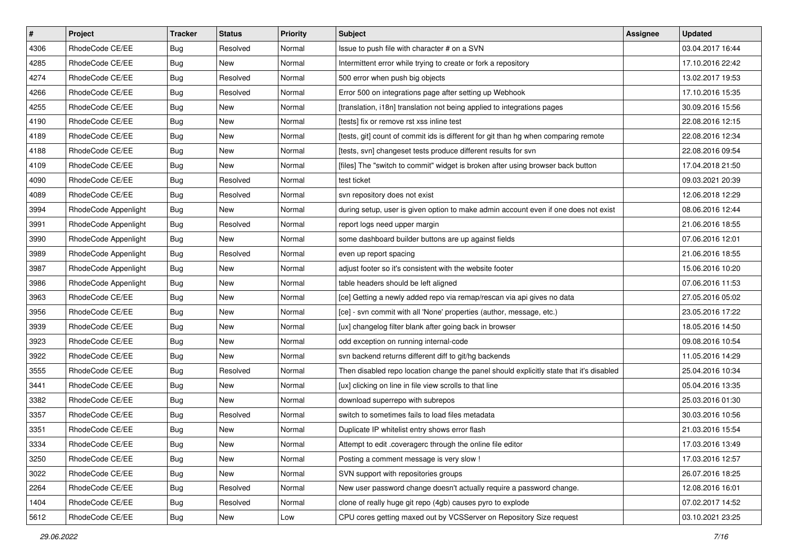| $\pmb{\#}$ | Project                     | <b>Tracker</b> | <b>Status</b> | <b>Priority</b> | <b>Subject</b>                                                                          | <b>Assignee</b> | <b>Updated</b>   |
|------------|-----------------------------|----------------|---------------|-----------------|-----------------------------------------------------------------------------------------|-----------------|------------------|
| 4306       | RhodeCode CE/EE             | Bug            | Resolved      | Normal          | Issue to push file with character # on a SVN                                            |                 | 03.04.2017 16:44 |
| 4285       | RhodeCode CE/EE             | Bug            | New           | Normal          | Intermittent error while trying to create or fork a repository                          |                 | 17.10.2016 22:42 |
| 4274       | RhodeCode CE/EE             | Bug            | Resolved      | Normal          | 500 error when push big objects                                                         |                 | 13.02.2017 19:53 |
| 4266       | RhodeCode CE/EE             | Bug            | Resolved      | Normal          | Error 500 on integrations page after setting up Webhook                                 |                 | 17.10.2016 15:35 |
| 4255       | RhodeCode CE/EE             | Bug            | <b>New</b>    | Normal          | [translation, i18n] translation not being applied to integrations pages                 |                 | 30.09.2016 15:56 |
| 4190       | RhodeCode CE/EE             | Bug            | New           | Normal          | [tests] fix or remove rst xss inline test                                               |                 | 22.08.2016 12:15 |
| 4189       | RhodeCode CE/EE             | Bug            | New           | Normal          | [tests, git] count of commit ids is different for git than hg when comparing remote     |                 | 22.08.2016 12:34 |
| 4188       | RhodeCode CE/EE             | <b>Bug</b>     | New           | Normal          | [tests, svn] changeset tests produce different results for svn                          |                 | 22.08.2016 09:54 |
| 4109       | RhodeCode CE/EE             | Bug            | New           | Normal          | [files] The "switch to commit" widget is broken after using browser back button         |                 | 17.04.2018 21:50 |
| 4090       | RhodeCode CE/EE             | <b>Bug</b>     | Resolved      | Normal          | test ticket                                                                             |                 | 09.03.2021 20:39 |
| 4089       | RhodeCode CE/EE             | Bug            | Resolved      | Normal          | svn repository does not exist                                                           |                 | 12.06.2018 12:29 |
| 3994       | RhodeCode Appenlight        | <b>Bug</b>     | New           | Normal          | during setup, user is given option to make admin account even if one does not exist     |                 | 08.06.2016 12:44 |
| 3991       | RhodeCode Appenlight        | Bug            | Resolved      | Normal          | report logs need upper margin                                                           |                 | 21.06.2016 18:55 |
| 3990       | RhodeCode Appenlight        | Bug            | New           | Normal          | some dashboard builder buttons are up against fields                                    |                 | 07.06.2016 12:01 |
| 3989       | RhodeCode Appenlight        | <b>Bug</b>     | Resolved      | Normal          | even up report spacing                                                                  |                 | 21.06.2016 18:55 |
| 3987       | RhodeCode Appenlight        | Bug            | New           | Normal          | adjust footer so it's consistent with the website footer                                |                 | 15.06.2016 10:20 |
| 3986       | <b>RhodeCode Appenlight</b> | Bug            | New           | Normal          | table headers should be left aligned                                                    |                 | 07.06.2016 11:53 |
| 3963       | RhodeCode CE/EE             | Bug            | New           | Normal          | [ce] Getting a newly added repo via remap/rescan via api gives no data                  |                 | 27.05.2016 05:02 |
| 3956       | RhodeCode CE/EE             | <b>Bug</b>     | New           | Normal          | [ce] - svn commit with all 'None' properties (author, message, etc.)                    |                 | 23.05.2016 17:22 |
| 3939       | RhodeCode CE/EE             | <b>Bug</b>     | New           | Normal          | [ux] changelog filter blank after going back in browser                                 |                 | 18.05.2016 14:50 |
| 3923       | RhodeCode CE/EE             | <b>Bug</b>     | New           | Normal          | odd exception on running internal-code                                                  |                 | 09.08.2016 10:54 |
| 3922       | RhodeCode CE/EE             | <b>Bug</b>     | New           | Normal          | svn backend returns different diff to git/hg backends                                   |                 | 11.05.2016 14:29 |
| 3555       | RhodeCode CE/EE             | <b>Bug</b>     | Resolved      | Normal          | Then disabled repo location change the panel should explicitly state that it's disabled |                 | 25.04.2016 10:34 |
| 3441       | RhodeCode CE/EE             | Bug            | New           | Normal          | [ux] clicking on line in file view scrolls to that line                                 |                 | 05.04.2016 13:35 |
| 3382       | RhodeCode CE/EE             | <b>Bug</b>     | New           | Normal          | download superrepo with subrepos                                                        |                 | 25.03.2016 01:30 |
| 3357       | RhodeCode CE/EE             | Bug            | Resolved      | Normal          | switch to sometimes fails to load files metadata                                        |                 | 30.03.2016 10:56 |
| 3351       | RhodeCode CE/EE             | <b>Bug</b>     | New           | Normal          | Duplicate IP whitelist entry shows error flash                                          |                 | 21.03.2016 15:54 |
| 3334       | RhodeCode CE/EE             | <b>Bug</b>     | New           | Normal          | Attempt to edit .coveragerc through the online file editor                              |                 | 17.03.2016 13:49 |
| 3250       | RhodeCode CE/EE             | Bug            | New           | Normal          | Posting a comment message is very slow !                                                |                 | 17.03.2016 12:57 |
| 3022       | RhodeCode CE/EE             | Bug            | New           | Normal          | SVN support with repositories groups                                                    |                 | 26.07.2016 18:25 |
| 2264       | RhodeCode CE/EE             | Bug            | Resolved      | Normal          | New user password change doesn't actually require a password change.                    |                 | 12.08.2016 16:01 |
| 1404       | RhodeCode CE/EE             | Bug            | Resolved      | Normal          | clone of really huge git repo (4gb) causes pyro to explode                              |                 | 07.02.2017 14:52 |
| 5612       | RhodeCode CE/EE             | <b>Bug</b>     | New           | Low             | CPU cores getting maxed out by VCSServer on Repository Size request                     |                 | 03.10.2021 23:25 |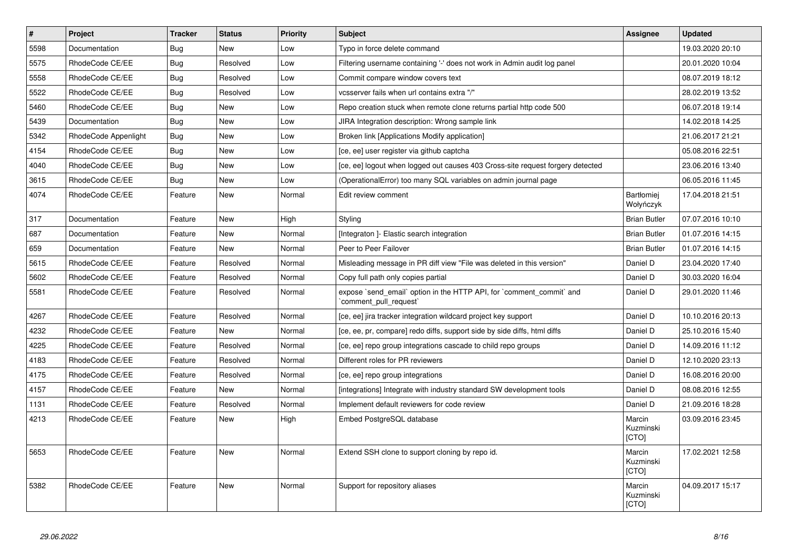| $\sharp$ | Project              | <b>Tracker</b> | <b>Status</b> | <b>Priority</b> | <b>Subject</b>                                                                               | Assignee                       | <b>Updated</b>   |
|----------|----------------------|----------------|---------------|-----------------|----------------------------------------------------------------------------------------------|--------------------------------|------------------|
| 5598     | Documentation        | Bug            | <b>New</b>    | Low             | Typo in force delete command                                                                 |                                | 19.03.2020 20:10 |
| 5575     | RhodeCode CE/EE      | Bug            | Resolved      | Low             | Filtering username containing '-' does not work in Admin audit log panel                     |                                | 20.01.2020 10:04 |
| 5558     | RhodeCode CE/EE      | Bug            | Resolved      | Low             | Commit compare window covers text                                                            |                                | 08.07.2019 18:12 |
| 5522     | RhodeCode CE/EE      | Bug            | Resolved      | Low             | vcsserver fails when url contains extra "/"                                                  |                                | 28.02.2019 13:52 |
| 5460     | RhodeCode CE/EE      | <b>Bug</b>     | <b>New</b>    | Low             | Repo creation stuck when remote clone returns partial http code 500                          |                                | 06.07.2018 19:14 |
| 5439     | Documentation        | Bug            | <b>New</b>    | Low             | JIRA Integration description: Wrong sample link                                              |                                | 14.02.2018 14:25 |
| 5342     | RhodeCode Appenlight | Bug            | <b>New</b>    | Low             | Broken link [Applications Modify application]                                                |                                | 21.06.2017 21:21 |
| 4154     | RhodeCode CE/EE      | Bug            | <b>New</b>    | Low             | [ce, ee] user register via github captcha                                                    |                                | 05.08.2016 22:51 |
| 4040     | RhodeCode CE/EE      | Bug            | <b>New</b>    | Low             | [ce, ee] logout when logged out causes 403 Cross-site request forgery detected               |                                | 23.06.2016 13:40 |
| 3615     | RhodeCode CE/EE      | Bug            | New           | Low             | (OperationalError) too many SQL variables on admin journal page                              |                                | 06.05.2016 11:45 |
| 4074     | RhodeCode CE/EE      | Feature        | New           | Normal          | Edit review comment                                                                          | <b>Bartłomiej</b><br>Wołyńczyk | 17.04.2018 21:51 |
| 317      | Documentation        | Feature        | <b>New</b>    | High            | Styling                                                                                      | <b>Brian Butler</b>            | 07.07.2016 10:10 |
| 687      | Documentation        | Feature        | <b>New</b>    | Normal          | [Integraton ]- Elastic search integration                                                    | <b>Brian Butler</b>            | 01.07.2016 14:15 |
| 659      | Documentation        | Feature        | <b>New</b>    | Normal          | Peer to Peer Failover                                                                        | <b>Brian Butler</b>            | 01.07.2016 14:15 |
| 5615     | RhodeCode CE/EE      | Feature        | Resolved      | Normal          | Misleading message in PR diff view "File was deleted in this version"                        | Daniel D                       | 23.04.2020 17:40 |
| 5602     | RhodeCode CE/EE      | Feature        | Resolved      | Normal          | Copy full path only copies partial                                                           | Daniel D                       | 30.03.2020 16:04 |
| 5581     | RhodeCode CE/EE      | Feature        | Resolved      | Normal          | expose `send email` option in the HTTP API, for `comment commit` and<br>comment pull request | Daniel D                       | 29.01.2020 11:46 |
| 4267     | RhodeCode CE/EE      | Feature        | Resolved      | Normal          | [ce, ee] jira tracker integration wildcard project key support                               | Daniel D                       | 10.10.2016 20:13 |
| 4232     | RhodeCode CE/EE      | Feature        | <b>New</b>    | Normal          | [ce, ee, pr, compare] redo diffs, support side by side diffs, html diffs                     | Daniel D                       | 25.10.2016 15:40 |
| 4225     | RhodeCode CE/EE      | Feature        | Resolved      | Normal          | [ce, ee] repo group integrations cascade to child repo groups                                | Daniel D                       | 14.09.2016 11:12 |
| 4183     | RhodeCode CE/EE      | Feature        | Resolved      | Normal          | Different roles for PR reviewers                                                             | Daniel D                       | 12.10.2020 23:13 |
| 4175     | RhodeCode CE/EE      | Feature        | Resolved      | Normal          | [ce, ee] repo group integrations                                                             | Daniel D                       | 16.08.2016 20:00 |
| 4157     | RhodeCode CE/EE      | Feature        | New           | Normal          | [integrations] Integrate with industry standard SW development tools                         | Daniel D                       | 08.08.2016 12:55 |
| 1131     | RhodeCode CE/EE      | Feature        | Resolved      | Normal          | Implement default reviewers for code review                                                  | Daniel D                       | 21.09.2016 18:28 |
| 4213     | RhodeCode CE/EE      | Feature        | <b>New</b>    | High            | Embed PostgreSQL database                                                                    | Marcin<br>Kuzminski<br>[CTO]   | 03.09.2016 23:45 |
| 5653     | RhodeCode CE/EE      | Feature        | <b>New</b>    | Normal          | Extend SSH clone to support cloning by repo id.                                              | Marcin<br>Kuzminski<br>[CTO]   | 17.02.2021 12:58 |
| 5382     | RhodeCode CE/EE      | Feature        | <b>New</b>    | Normal          | Support for repository aliases                                                               | Marcin<br>Kuzminski<br>[CTO]   | 04.09.2017 15:17 |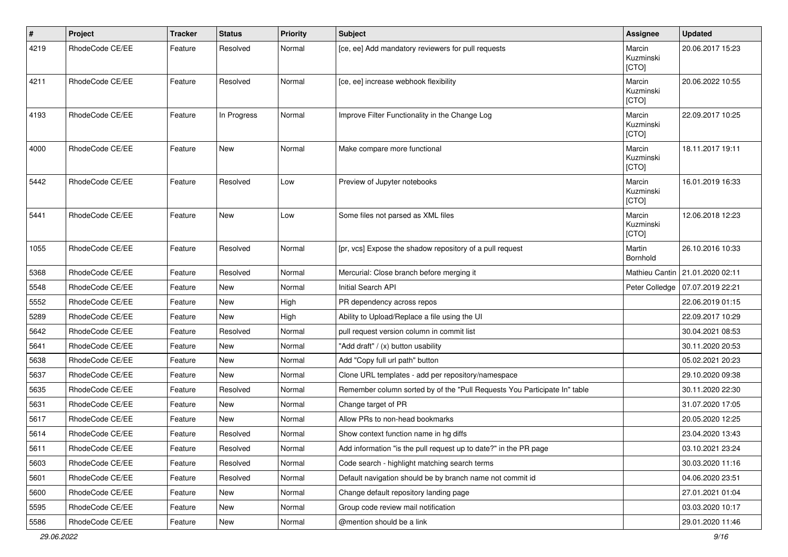| $\sharp$ | Project         | <b>Tracker</b> | <b>Status</b> | <b>Priority</b> | <b>Subject</b>                                                            | Assignee                     | <b>Updated</b>                    |
|----------|-----------------|----------------|---------------|-----------------|---------------------------------------------------------------------------|------------------------------|-----------------------------------|
| 4219     | RhodeCode CE/EE | Feature        | Resolved      | Normal          | [ce, ee] Add mandatory reviewers for pull requests                        | Marcin<br>Kuzminski<br>[CTO] | 20.06.2017 15:23                  |
| 4211     | RhodeCode CE/EE | Feature        | Resolved      | Normal          | [ce, ee] increase webhook flexibility                                     | Marcin<br>Kuzminski<br>[CTO] | 20.06.2022 10:55                  |
| 4193     | RhodeCode CE/EE | Feature        | In Progress   | Normal          | Improve Filter Functionality in the Change Log                            | Marcin<br>Kuzminski<br>[CTO] | 22.09.2017 10:25                  |
| 4000     | RhodeCode CE/EE | Feature        | New           | Normal          | Make compare more functional                                              | Marcin<br>Kuzminski<br>[CTO] | 18.11.2017 19:11                  |
| 5442     | RhodeCode CE/EE | Feature        | Resolved      | Low             | Preview of Jupyter notebooks                                              | Marcin<br>Kuzminski<br>[CTO] | 16.01.2019 16:33                  |
| 5441     | RhodeCode CE/EE | Feature        | <b>New</b>    | Low             | Some files not parsed as XML files                                        | Marcin<br>Kuzminski<br>[CTO] | 12.06.2018 12:23                  |
| 1055     | RhodeCode CE/EE | Feature        | Resolved      | Normal          | [pr, vcs] Expose the shadow repository of a pull request                  | Martin<br>Bornhold           | 26.10.2016 10:33                  |
| 5368     | RhodeCode CE/EE | Feature        | Resolved      | Normal          | Mercurial: Close branch before merging it                                 |                              | Mathieu Cantin   21.01.2020 02:11 |
| 5548     | RhodeCode CE/EE | Feature        | <b>New</b>    | Normal          | Initial Search API                                                        | Peter Colledge               | 07.07.2019 22:21                  |
| 5552     | RhodeCode CE/EE | Feature        | <b>New</b>    | High            | PR dependency across repos                                                |                              | 22.06.2019 01:15                  |
| 5289     | RhodeCode CE/EE | Feature        | New           | High            | Ability to Upload/Replace a file using the UI                             |                              | 22.09.2017 10:29                  |
| 5642     | RhodeCode CE/EE | Feature        | Resolved      | Normal          | pull request version column in commit list                                |                              | 30.04.2021 08:53                  |
| 5641     | RhodeCode CE/EE | Feature        | New           | Normal          | "Add draft" / (x) button usability                                        |                              | 30.11.2020 20:53                  |
| 5638     | RhodeCode CE/EE | Feature        | New           | Normal          | Add "Copy full url path" button                                           |                              | 05.02.2021 20:23                  |
| 5637     | RhodeCode CE/EE | Feature        | <b>New</b>    | Normal          | Clone URL templates - add per repository/namespace                        |                              | 29.10.2020 09:38                  |
| 5635     | RhodeCode CE/EE | Feature        | Resolved      | Normal          | Remember column sorted by of the "Pull Requests You Participate In" table |                              | 30.11.2020 22:30                  |
| 5631     | RhodeCode CE/EE | Feature        | <b>New</b>    | Normal          | Change target of PR                                                       |                              | 31.07.2020 17:05                  |
| 5617     | RhodeCode CE/EE | Feature        | New           | Normal          | Allow PRs to non-head bookmarks                                           |                              | 20.05.2020 12:25                  |
| 5614     | RhodeCode CE/EE | Feature        | Resolved      | Normal          | Show context function name in hg diffs                                    |                              | 23.04.2020 13:43                  |
| 5611     | RhodeCode CE/EE | Feature        | Resolved      | Normal          | Add information "is the pull request up to date?" in the PR page          |                              | 03.10.2021 23:24                  |
| 5603     | RhodeCode CE/EE | Feature        | Resolved      | Normal          | Code search - highlight matching search terms                             |                              | 30.03.2020 11:16                  |
| 5601     | RhodeCode CE/EE | Feature        | Resolved      | Normal          | Default navigation should be by branch name not commit id                 |                              | 04.06.2020 23:51                  |
| 5600     | RhodeCode CE/EE | Feature        | New           | Normal          | Change default repository landing page                                    |                              | 27.01.2021 01:04                  |
| 5595     | RhodeCode CE/EE | Feature        | New           | Normal          | Group code review mail notification                                       |                              | 03.03.2020 10:17                  |
| 5586     | RhodeCode CE/EE | Feature        | New           | Normal          | @mention should be a link                                                 |                              | 29.01.2020 11:46                  |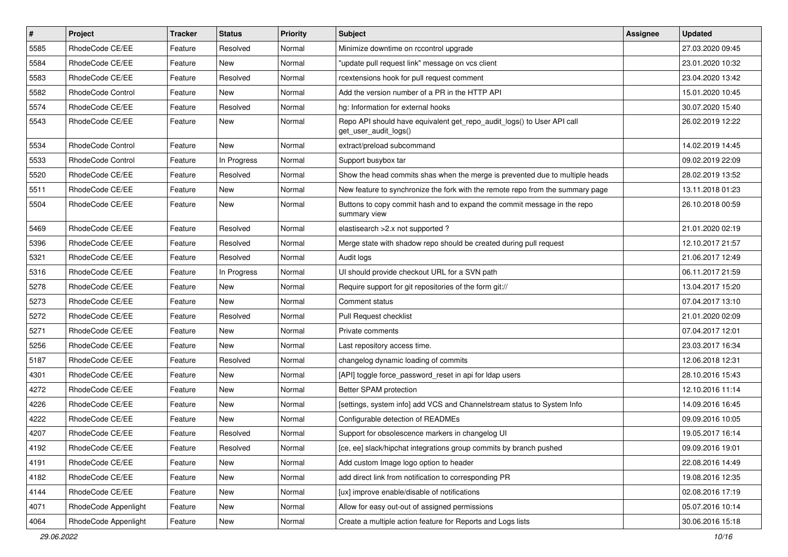| $\vert$ # | Project              | <b>Tracker</b> | <b>Status</b> | Priority | <b>Subject</b>                                                                                  | <b>Assignee</b> | <b>Updated</b>   |
|-----------|----------------------|----------------|---------------|----------|-------------------------------------------------------------------------------------------------|-----------------|------------------|
| 5585      | RhodeCode CE/EE      | Feature        | Resolved      | Normal   | Minimize downtime on rccontrol upgrade                                                          |                 | 27.03.2020 09:45 |
| 5584      | RhodeCode CE/EE      | Feature        | <b>New</b>    | Normal   | "update pull request link" message on vcs client                                                |                 | 23.01.2020 10:32 |
| 5583      | RhodeCode CE/EE      | Feature        | Resolved      | Normal   | rcextensions hook for pull request comment                                                      |                 | 23.04.2020 13:42 |
| 5582      | RhodeCode Control    | Feature        | New           | Normal   | Add the version number of a PR in the HTTP API                                                  |                 | 15.01.2020 10:45 |
| 5574      | RhodeCode CE/EE      | Feature        | Resolved      | Normal   | hg: Information for external hooks                                                              |                 | 30.07.2020 15:40 |
| 5543      | RhodeCode CE/EE      | Feature        | New           | Normal   | Repo API should have equivalent get_repo_audit_logs() to User API call<br>get_user_audit_logs() |                 | 26.02.2019 12:22 |
| 5534      | RhodeCode Control    | Feature        | <b>New</b>    | Normal   | extract/preload subcommand                                                                      |                 | 14.02.2019 14:45 |
| 5533      | RhodeCode Control    | Feature        | In Progress   | Normal   | Support busybox tar                                                                             |                 | 09.02.2019 22:09 |
| 5520      | RhodeCode CE/EE      | Feature        | Resolved      | Normal   | Show the head commits shas when the merge is prevented due to multiple heads                    |                 | 28.02.2019 13:52 |
| 5511      | RhodeCode CE/EE      | Feature        | New           | Normal   | New feature to synchronize the fork with the remote repo from the summary page                  |                 | 13.11.2018 01:23 |
| 5504      | RhodeCode CE/EE      | Feature        | New           | Normal   | Buttons to copy commit hash and to expand the commit message in the repo<br>summary view        |                 | 26.10.2018 00:59 |
| 5469      | RhodeCode CE/EE      | Feature        | Resolved      | Normal   | elastisearch > 2.x not supported ?                                                              |                 | 21.01.2020 02:19 |
| 5396      | RhodeCode CE/EE      | Feature        | Resolved      | Normal   | Merge state with shadow repo should be created during pull request                              |                 | 12.10.2017 21:57 |
| 5321      | RhodeCode CE/EE      | Feature        | Resolved      | Normal   | Audit logs                                                                                      |                 | 21.06.2017 12:49 |
| 5316      | RhodeCode CE/EE      | Feature        | In Progress   | Normal   | UI should provide checkout URL for a SVN path                                                   |                 | 06.11.2017 21:59 |
| 5278      | RhodeCode CE/EE      | Feature        | New           | Normal   | Require support for git repositories of the form git://                                         |                 | 13.04.2017 15:20 |
| 5273      | RhodeCode CE/EE      | Feature        | New           | Normal   | Comment status                                                                                  |                 | 07.04.2017 13:10 |
| 5272      | RhodeCode CE/EE      | Feature        | Resolved      | Normal   | Pull Request checklist                                                                          |                 | 21.01.2020 02:09 |
| 5271      | RhodeCode CE/EE      | Feature        | New           | Normal   | Private comments                                                                                |                 | 07.04.2017 12:01 |
| 5256      | RhodeCode CE/EE      | Feature        | New           | Normal   | Last repository access time.                                                                    |                 | 23.03.2017 16:34 |
| 5187      | RhodeCode CE/EE      | Feature        | Resolved      | Normal   | changelog dynamic loading of commits                                                            |                 | 12.06.2018 12:31 |
| 4301      | RhodeCode CE/EE      | Feature        | New           | Normal   | [API] toggle force_password_reset in api for Idap users                                         |                 | 28.10.2016 15:43 |
| 4272      | RhodeCode CE/EE      | Feature        | New           | Normal   | Better SPAM protection                                                                          |                 | 12.10.2016 11:14 |
| 4226      | RhodeCode CE/EE      | Feature        | New           | Normal   | [settings, system info] add VCS and Channelstream status to System Info                         |                 | 14.09.2016 16:45 |
| 4222      | RhodeCode CE/EE      | Feature        | New           | Normal   | Configurable detection of READMEs                                                               |                 | 09.09.2016 10:05 |
| 4207      | RhodeCode CE/EE      | Feature        | Resolved      | Normal   | Support for obsolescence markers in changelog UI                                                |                 | 19.05.2017 16:14 |
| 4192      | RhodeCode CE/EE      | Feature        | Resolved      | Normal   | [ce, ee] slack/hipchat integrations group commits by branch pushed                              |                 | 09.09.2016 19:01 |
| 4191      | RhodeCode CE/EE      | Feature        | New           | Normal   | Add custom Image logo option to header                                                          |                 | 22.08.2016 14:49 |
| 4182      | RhodeCode CE/EE      | Feature        | New           | Normal   | add direct link from notification to corresponding PR                                           |                 | 19.08.2016 12:35 |
| 4144      | RhodeCode CE/EE      | Feature        | New           | Normal   | [ux] improve enable/disable of notifications                                                    |                 | 02.08.2016 17:19 |
| 4071      | RhodeCode Appenlight | Feature        | New           | Normal   | Allow for easy out-out of assigned permissions                                                  |                 | 05.07.2016 10:14 |
| 4064      | RhodeCode Appenlight | Feature        | New           | Normal   | Create a multiple action feature for Reports and Logs lists                                     |                 | 30.06.2016 15:18 |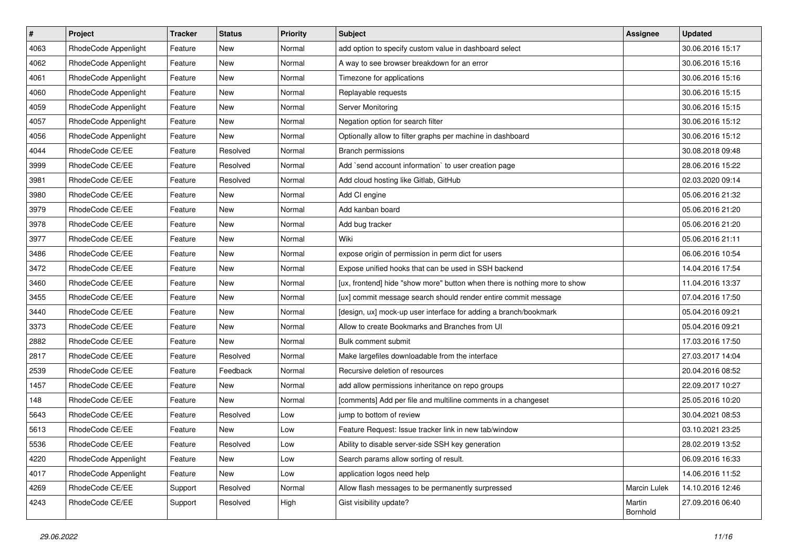| $\vert$ # | Project              | Tracker | <b>Status</b> | <b>Priority</b> | <b>Subject</b>                                                            | <b>Assignee</b>    | <b>Updated</b>   |
|-----------|----------------------|---------|---------------|-----------------|---------------------------------------------------------------------------|--------------------|------------------|
| 4063      | RhodeCode Appenlight | Feature | New           | Normal          | add option to specify custom value in dashboard select                    |                    | 30.06.2016 15:17 |
| 4062      | RhodeCode Appenlight | Feature | New           | Normal          | A way to see browser breakdown for an error                               |                    | 30.06.2016 15:16 |
| 4061      | RhodeCode Appenlight | Feature | New           | Normal          | Timezone for applications                                                 |                    | 30.06.2016 15:16 |
| 4060      | RhodeCode Appenlight | Feature | New           | Normal          | Replayable requests                                                       |                    | 30.06.2016 15:15 |
| 4059      | RhodeCode Appenlight | Feature | New           | Normal          | Server Monitoring                                                         |                    | 30.06.2016 15:15 |
| 4057      | RhodeCode Appenlight | Feature | New           | Normal          | Negation option for search filter                                         |                    | 30.06.2016 15:12 |
| 4056      | RhodeCode Appenlight | Feature | New           | Normal          | Optionally allow to filter graphs per machine in dashboard                |                    | 30.06.2016 15:12 |
| 4044      | RhodeCode CE/EE      | Feature | Resolved      | Normal          | <b>Branch permissions</b>                                                 |                    | 30.08.2018 09:48 |
| 3999      | RhodeCode CE/EE      | Feature | Resolved      | Normal          | Add `send account information` to user creation page                      |                    | 28.06.2016 15:22 |
| 3981      | RhodeCode CE/EE      | Feature | Resolved      | Normal          | Add cloud hosting like Gitlab, GitHub                                     |                    | 02.03.2020 09:14 |
| 3980      | RhodeCode CE/EE      | Feature | New           | Normal          | Add CI engine                                                             |                    | 05.06.2016 21:32 |
| 3979      | RhodeCode CE/EE      | Feature | New           | Normal          | Add kanban board                                                          |                    | 05.06.2016 21:20 |
| 3978      | RhodeCode CE/EE      | Feature | New           | Normal          | Add bug tracker                                                           |                    | 05.06.2016 21:20 |
| 3977      | RhodeCode CE/EE      | Feature | New           | Normal          | Wiki                                                                      |                    | 05.06.2016 21:11 |
| 3486      | RhodeCode CE/EE      | Feature | New           | Normal          | expose origin of permission in perm dict for users                        |                    | 06.06.2016 10:54 |
| 3472      | RhodeCode CE/EE      | Feature | New           | Normal          | Expose unified hooks that can be used in SSH backend                      |                    | 14.04.2016 17:54 |
| 3460      | RhodeCode CE/EE      | Feature | New           | Normal          | [ux, frontend] hide "show more" button when there is nothing more to show |                    | 11.04.2016 13:37 |
| 3455      | RhodeCode CE/EE      | Feature | New           | Normal          | [ux] commit message search should render entire commit message            |                    | 07.04.2016 17:50 |
| 3440      | RhodeCode CE/EE      | Feature | New           | Normal          | [design, ux] mock-up user interface for adding a branch/bookmark          |                    | 05.04.2016 09:21 |
| 3373      | RhodeCode CE/EE      | Feature | New           | Normal          | Allow to create Bookmarks and Branches from UI                            |                    | 05.04.2016 09:21 |
| 2882      | RhodeCode CE/EE      | Feature | New           | Normal          | Bulk comment submit                                                       |                    | 17.03.2016 17:50 |
| 2817      | RhodeCode CE/EE      | Feature | Resolved      | Normal          | Make largefiles downloadable from the interface                           |                    | 27.03.2017 14:04 |
| 2539      | RhodeCode CE/EE      | Feature | Feedback      | Normal          | Recursive deletion of resources                                           |                    | 20.04.2016 08:52 |
| 1457      | RhodeCode CE/EE      | Feature | New           | Normal          | add allow permissions inheritance on repo groups                          |                    | 22.09.2017 10:27 |
| 148       | RhodeCode CE/EE      | Feature | New           | Normal          | [comments] Add per file and multiline comments in a changeset             |                    | 25.05.2016 10:20 |
| 5643      | RhodeCode CE/EE      | Feature | Resolved      | Low             | jump to bottom of review                                                  |                    | 30.04.2021 08:53 |
| 5613      | RhodeCode CE/EE      | Feature | New           | Low             | Feature Request: Issue tracker link in new tab/window                     |                    | 03.10.2021 23:25 |
| 5536      | RhodeCode CE/EE      | Feature | Resolved      | Low             | Ability to disable server-side SSH key generation                         |                    | 28.02.2019 13:52 |
| 4220      | RhodeCode Appenlight | Feature | New           | Low             | Search params allow sorting of result.                                    |                    | 06.09.2016 16:33 |
| 4017      | RhodeCode Appenlight | Feature | New           | Low             | application logos need help                                               |                    | 14.06.2016 11:52 |
| 4269      | RhodeCode CE/EE      | Support | Resolved      | Normal          | Allow flash messages to be permanently surpressed                         | Marcin Lulek       | 14.10.2016 12:46 |
| 4243      | RhodeCode CE/EE      | Support | Resolved      | High            | Gist visibility update?                                                   | Martin<br>Bornhold | 27.09.2016 06:40 |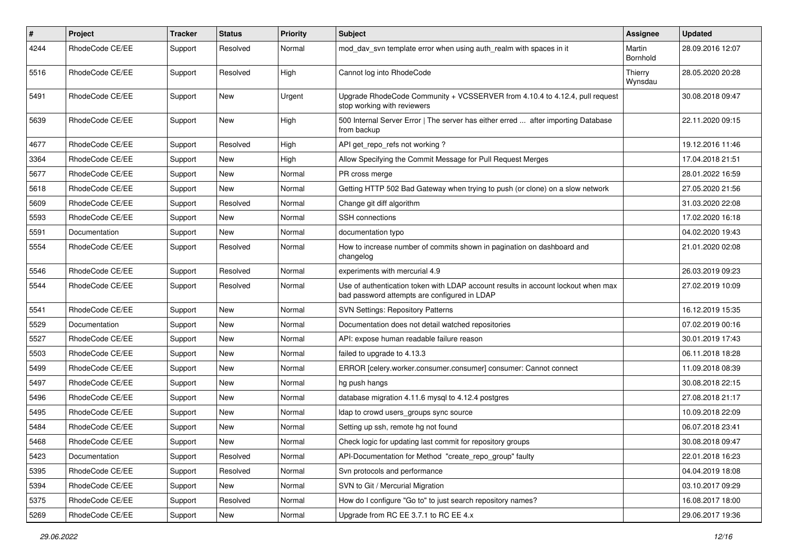| $\#$ | Project         | Tracker | <b>Status</b> | <b>Priority</b> | <b>Subject</b>                                                                                                                    | <b>Assignee</b>    | <b>Updated</b>   |
|------|-----------------|---------|---------------|-----------------|-----------------------------------------------------------------------------------------------------------------------------------|--------------------|------------------|
| 4244 | RhodeCode CE/EE | Support | Resolved      | Normal          | mod day syn template error when using auth realm with spaces in it                                                                | Martin<br>Bornhold | 28.09.2016 12:07 |
| 5516 | RhodeCode CE/EE | Support | Resolved      | High            | Cannot log into RhodeCode                                                                                                         | Thierry<br>Wynsdau | 28.05.2020 20:28 |
| 5491 | RhodeCode CE/EE | Support | New           | Urgent          | Upgrade RhodeCode Community + VCSSERVER from 4.10.4 to 4.12.4, pull request<br>stop working with reviewers                        |                    | 30.08.2018 09:47 |
| 5639 | RhodeCode CE/EE | Support | <b>New</b>    | High            | 500 Internal Server Error   The server has either erred  after importing Database<br>from backup                                  |                    | 22.11.2020 09:15 |
| 4677 | RhodeCode CE/EE | Support | Resolved      | High            | API get_repo_refs not working?                                                                                                    |                    | 19.12.2016 11:46 |
| 3364 | RhodeCode CE/EE | Support | New           | High            | Allow Specifying the Commit Message for Pull Request Merges                                                                       |                    | 17.04.2018 21:51 |
| 5677 | RhodeCode CE/EE | Support | New           | Normal          | PR cross merge                                                                                                                    |                    | 28.01.2022 16:59 |
| 5618 | RhodeCode CE/EE | Support | New           | Normal          | Getting HTTP 502 Bad Gateway when trying to push (or clone) on a slow network                                                     |                    | 27.05.2020 21:56 |
| 5609 | RhodeCode CE/EE | Support | Resolved      | Normal          | Change git diff algorithm                                                                                                         |                    | 31.03.2020 22:08 |
| 5593 | RhodeCode CE/EE | Support | New           | Normal          | SSH connections                                                                                                                   |                    | 17.02.2020 16:18 |
| 5591 | Documentation   | Support | <b>New</b>    | Normal          | documentation typo                                                                                                                |                    | 04.02.2020 19:43 |
| 5554 | RhodeCode CE/EE | Support | Resolved      | Normal          | How to increase number of commits shown in pagination on dashboard and<br>changelog                                               |                    | 21.01.2020 02:08 |
| 5546 | RhodeCode CE/EE | Support | Resolved      | Normal          | experiments with mercurial 4.9                                                                                                    |                    | 26.03.2019 09:23 |
| 5544 | RhodeCode CE/EE | Support | Resolved      | Normal          | Use of authentication token with LDAP account results in account lockout when max<br>bad password attempts are configured in LDAP |                    | 27.02.2019 10:09 |
| 5541 | RhodeCode CE/EE | Support | New           | Normal          | <b>SVN Settings: Repository Patterns</b>                                                                                          |                    | 16.12.2019 15:35 |
| 5529 | Documentation   | Support | New           | Normal          | Documentation does not detail watched repositories                                                                                |                    | 07.02.2019 00:16 |
| 5527 | RhodeCode CE/EE | Support | New           | Normal          | API: expose human readable failure reason                                                                                         |                    | 30.01.2019 17:43 |
| 5503 | RhodeCode CE/EE | Support | New           | Normal          | failed to upgrade to 4.13.3                                                                                                       |                    | 06.11.2018 18:28 |
| 5499 | RhodeCode CE/EE | Support | New           | Normal          | ERROR [celery.worker.consumer.consumer] consumer: Cannot connect                                                                  |                    | 11.09.2018 08:39 |
| 5497 | RhodeCode CE/EE | Support | New           | Normal          | hg push hangs                                                                                                                     |                    | 30.08.2018 22:15 |
| 5496 | RhodeCode CE/EE | Support | New           | Normal          | database migration 4.11.6 mysql to 4.12.4 postgres                                                                                |                    | 27.08.2018 21:17 |
| 5495 | RhodeCode CE/EE | Support | New           | Normal          | Idap to crowd users_groups sync source                                                                                            |                    | 10.09.2018 22:09 |
| 5484 | RhodeCode CE/EE | Support | New           | Normal          | Setting up ssh, remote hg not found                                                                                               |                    | 06.07.2018 23:41 |
| 5468 | RhodeCode CE/EE | Support | New           | Normal          | Check logic for updating last commit for repository groups                                                                        |                    | 30.08.2018 09:47 |
| 5423 | Documentation   | Support | Resolved      | Normal          | API-Documentation for Method "create_repo_group" faulty                                                                           |                    | 22.01.2018 16:23 |
| 5395 | RhodeCode CE/EE | Support | Resolved      | Normal          | Svn protocols and performance                                                                                                     |                    | 04.04.2019 18:08 |
| 5394 | RhodeCode CE/EE | Support | New           | Normal          | SVN to Git / Mercurial Migration                                                                                                  |                    | 03.10.2017 09:29 |
| 5375 | RhodeCode CE/EE | Support | Resolved      | Normal          | How do I configure "Go to" to just search repository names?                                                                       |                    | 16.08.2017 18:00 |
| 5269 | RhodeCode CE/EE | Support | New           | Normal          | Upgrade from RC EE 3.7.1 to RC EE 4.x                                                                                             |                    | 29.06.2017 19:36 |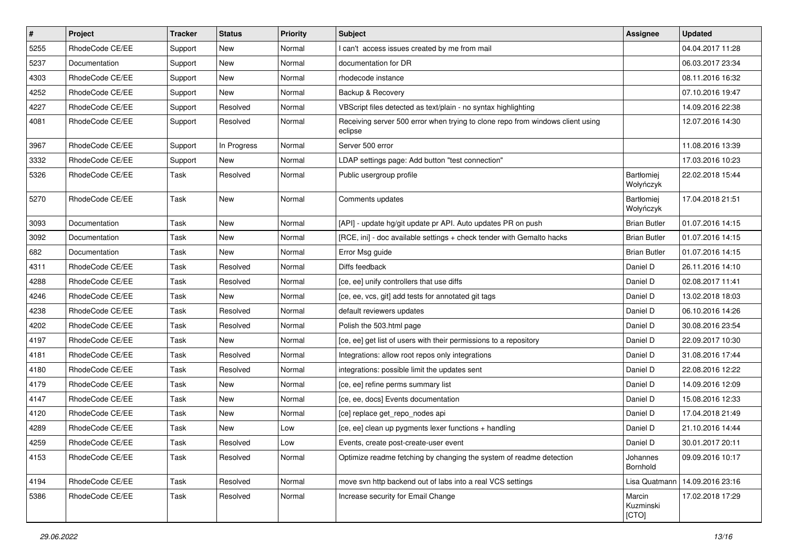| $\pmb{\#}$ | Project         | <b>Tracker</b> | <b>Status</b> | <b>Priority</b> | <b>Subject</b>                                                                            | <b>Assignee</b>                | <b>Updated</b>   |
|------------|-----------------|----------------|---------------|-----------------|-------------------------------------------------------------------------------------------|--------------------------------|------------------|
| 5255       | RhodeCode CE/EE | Support        | New           | Normal          | I can't access issues created by me from mail                                             |                                | 04.04.2017 11:28 |
| 5237       | Documentation   | Support        | New           | Normal          | documentation for DR                                                                      |                                | 06.03.2017 23:34 |
| 4303       | RhodeCode CE/EE | Support        | New           | Normal          | rhodecode instance                                                                        |                                | 08.11.2016 16:32 |
| 4252       | RhodeCode CE/EE | Support        | New           | Normal          | Backup & Recovery                                                                         |                                | 07.10.2016 19:47 |
| 4227       | RhodeCode CE/EE | Support        | Resolved      | Normal          | VBScript files detected as text/plain - no syntax highlighting                            |                                | 14.09.2016 22:38 |
| 4081       | RhodeCode CE/EE | Support        | Resolved      | Normal          | Receiving server 500 error when trying to clone repo from windows client using<br>eclipse |                                | 12.07.2016 14:30 |
| 3967       | RhodeCode CE/EE | Support        | In Progress   | Normal          | Server 500 error                                                                          |                                | 11.08.2016 13:39 |
| 3332       | RhodeCode CE/EE | Support        | New           | Normal          | LDAP settings page: Add button "test connection"                                          |                                | 17.03.2016 10:23 |
| 5326       | RhodeCode CE/EE | Task           | Resolved      | Normal          | Public usergroup profile                                                                  | <b>Bartłomiei</b><br>Wołyńczyk | 22.02.2018 15:44 |
| 5270       | RhodeCode CE/EE | Task           | New           | Normal          | Comments updates                                                                          | Bartłomiej<br>Wołyńczyk        | 17.04.2018 21:51 |
| 3093       | Documentation   | Task           | New           | Normal          | [API] - update hg/git update pr API. Auto updates PR on push                              | <b>Brian Butler</b>            | 01.07.2016 14:15 |
| 3092       | Documentation   | Task           | New           | Normal          | [RCE, ini] - doc available settings + check tender with Gemalto hacks                     | <b>Brian Butler</b>            | 01.07.2016 14:15 |
| 682        | Documentation   | Task           | New           | Normal          | Error Msg guide                                                                           | <b>Brian Butler</b>            | 01.07.2016 14:15 |
| 4311       | RhodeCode CE/EE | Task           | Resolved      | Normal          | Diffs feedback                                                                            | Daniel D                       | 26.11.2016 14:10 |
| 4288       | RhodeCode CE/EE | Task           | Resolved      | Normal          | [ce, ee] unify controllers that use diffs                                                 | Daniel D                       | 02.08.2017 11:41 |
| 4246       | RhodeCode CE/EE | Task           | New           | Normal          | [ce, ee, vcs, git] add tests for annotated git tags                                       | Daniel D                       | 13.02.2018 18:03 |
| 4238       | RhodeCode CE/EE | Task           | Resolved      | Normal          | default reviewers updates                                                                 | Daniel D                       | 06.10.2016 14:26 |
| 4202       | RhodeCode CE/EE | Task           | Resolved      | Normal          | Polish the 503.html page                                                                  | Daniel D                       | 30.08.2016 23:54 |
| 4197       | RhodeCode CE/EE | Task           | New           | Normal          | [ce, ee] get list of users with their permissions to a repository                         | Daniel D                       | 22.09.2017 10:30 |
| 4181       | RhodeCode CE/EE | Task           | Resolved      | Normal          | Integrations: allow root repos only integrations                                          | Daniel D                       | 31.08.2016 17:44 |
| 4180       | RhodeCode CE/EE | Task           | Resolved      | Normal          | integrations: possible limit the updates sent                                             | Daniel D                       | 22.08.2016 12:22 |
| 4179       | RhodeCode CE/EE | Task           | New           | Normal          | [ce, ee] refine perms summary list                                                        | Daniel D                       | 14.09.2016 12:09 |
| 4147       | RhodeCode CE/EE | Task           | New           | Normal          | [ce, ee, docs] Events documentation                                                       | Daniel D                       | 15.08.2016 12:33 |
| 4120       | RhodeCode CE/EE | Task           | New           | Normal          | [ce] replace get_repo_nodes api                                                           | Daniel D                       | 17.04.2018 21:49 |
| 4289       | RhodeCode CE/EE | Task           | New           | Low             | [ce, ee] clean up pygments lexer functions + handling                                     | Daniel D                       | 21.10.2016 14:44 |
| 4259       | RhodeCode CE/EE | Task           | Resolved      | Low             | Events, create post-create-user event                                                     | Daniel D                       | 30.01.2017 20:11 |
| 4153       | RhodeCode CE/EE | Task           | Resolved      | Normal          | Optimize readme fetching by changing the system of readme detection                       | Johannes<br>Bornhold           | 09.09.2016 10:17 |
| 4194       | RhodeCode CE/EE | Task           | Resolved      | Normal          | move svn http backend out of labs into a real VCS settings                                | Lisa Quatmann                  | 14.09.2016 23:16 |
| 5386       | RhodeCode CE/EE | Task           | Resolved      | Normal          | Increase security for Email Change                                                        | Marcin<br>Kuzminski<br>[CTO]   | 17.02.2018 17:29 |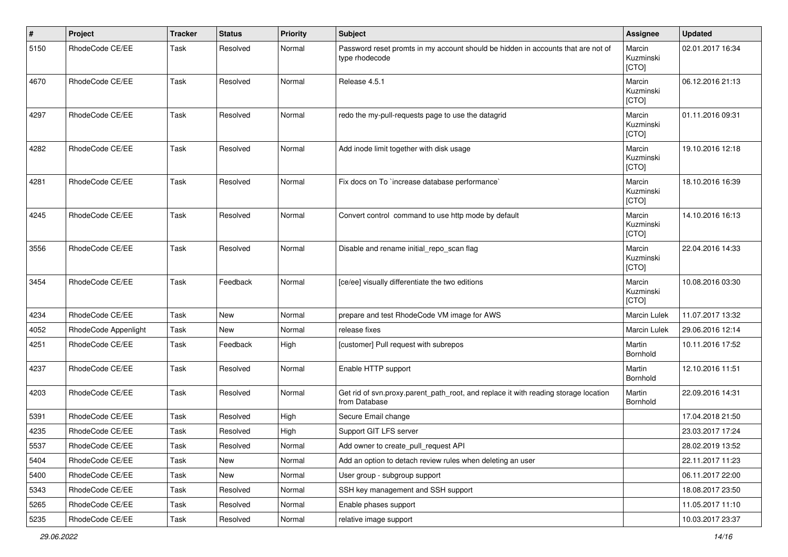| $\vert$ # | Project              | <b>Tracker</b> | <b>Status</b> | <b>Priority</b> | <b>Subject</b>                                                                                       | Assignee                     | <b>Updated</b>   |
|-----------|----------------------|----------------|---------------|-----------------|------------------------------------------------------------------------------------------------------|------------------------------|------------------|
| 5150      | RhodeCode CE/EE      | Task           | Resolved      | Normal          | Password reset promts in my account should be hidden in accounts that are not of<br>type rhodecode   | Marcin<br>Kuzminski<br>[CTO] | 02.01.2017 16:34 |
| 4670      | RhodeCode CE/EE      | Task           | Resolved      | Normal          | Release 4.5.1                                                                                        | Marcin<br>Kuzminski<br>[CTO] | 06.12.2016 21:13 |
| 4297      | RhodeCode CE/EE      | Task           | Resolved      | Normal          | redo the my-pull-requests page to use the datagrid                                                   | Marcin<br>Kuzminski<br>[CTO] | 01.11.2016 09:31 |
| 4282      | RhodeCode CE/EE      | Task           | Resolved      | Normal          | Add inode limit together with disk usage                                                             | Marcin<br>Kuzminski<br>[CTO] | 19.10.2016 12:18 |
| 4281      | RhodeCode CE/EE      | Task           | Resolved      | Normal          | Fix docs on To `increase database performance`                                                       | Marcin<br>Kuzminski<br>[CTO] | 18.10.2016 16:39 |
| 4245      | RhodeCode CE/EE      | Task           | Resolved      | Normal          | Convert control command to use http mode by default                                                  | Marcin<br>Kuzminski<br>[CTO] | 14.10.2016 16:13 |
| 3556      | RhodeCode CE/EE      | Task           | Resolved      | Normal          | Disable and rename initial_repo_scan flag                                                            | Marcin<br>Kuzminski<br>[CTO] | 22.04.2016 14:33 |
| 3454      | RhodeCode CE/EE      | Task           | Feedback      | Normal          | [ce/ee] visually differentiate the two editions                                                      | Marcin<br>Kuzminski<br>[CTO] | 10.08.2016 03:30 |
| 4234      | RhodeCode CE/EE      | Task           | <b>New</b>    | Normal          | prepare and test RhodeCode VM image for AWS                                                          | <b>Marcin Lulek</b>          | 11.07.2017 13:32 |
| 4052      | RhodeCode Appenlight | Task           | New           | Normal          | release fixes                                                                                        | <b>Marcin Lulek</b>          | 29.06.2016 12:14 |
| 4251      | RhodeCode CE/EE      | Task           | Feedback      | High            | [customer] Pull request with subrepos                                                                | Martin<br>Bornhold           | 10.11.2016 17:52 |
| 4237      | RhodeCode CE/EE      | Task           | Resolved      | Normal          | Enable HTTP support                                                                                  | Martin<br>Bornhold           | 12.10.2016 11:51 |
| 4203      | RhodeCode CE/EE      | Task           | Resolved      | Normal          | Get rid of svn.proxy.parent_path_root, and replace it with reading storage location<br>from Database | Martin<br>Bornhold           | 22.09.2016 14:31 |
| 5391      | RhodeCode CE/EE      | Task           | Resolved      | High            | Secure Email change                                                                                  |                              | 17.04.2018 21:50 |
| 4235      | RhodeCode CE/EE      | Task           | Resolved      | High            | Support GIT LFS server                                                                               |                              | 23.03.2017 17:24 |
| 5537      | RhodeCode CE/EE      | Task           | Resolved      | Normal          | Add owner to create_pull_request API                                                                 |                              | 28.02.2019 13:52 |
| 5404      | RhodeCode CE/EE      | Task           | New           | Normal          | Add an option to detach review rules when deleting an user                                           |                              | 22.11.2017 11:23 |
| 5400      | RhodeCode CE/EE      | Task           | New           | Normal          | User group - subgroup support                                                                        |                              | 06.11.2017 22:00 |
| 5343      | RhodeCode CE/EE      | Task           | Resolved      | Normal          | SSH key management and SSH support                                                                   |                              | 18.08.2017 23:50 |
| 5265      | RhodeCode CE/EE      | Task           | Resolved      | Normal          | Enable phases support                                                                                |                              | 11.05.2017 11:10 |
| 5235      | RhodeCode CE/EE      | Task           | Resolved      | Normal          | relative image support                                                                               |                              | 10.03.2017 23:37 |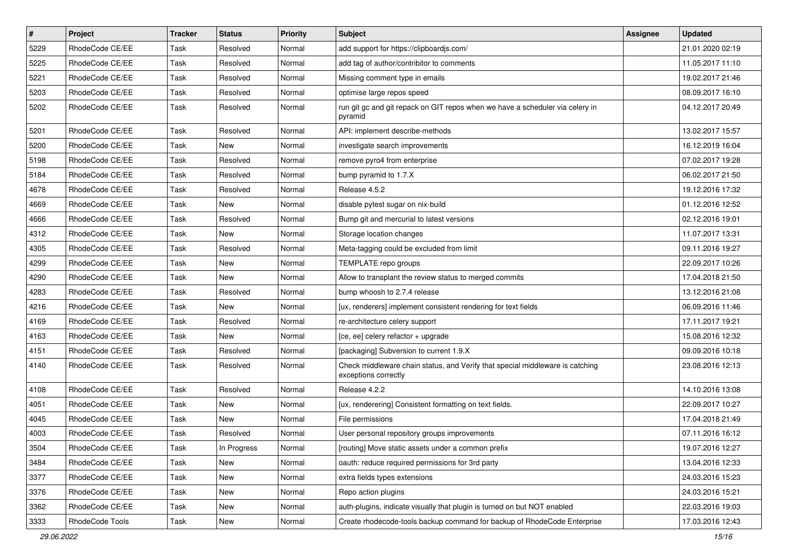| $\pmb{\#}$ | Project         | <b>Tracker</b> | <b>Status</b> | <b>Priority</b> | Subject                                                                                               | Assignee | <b>Updated</b>   |
|------------|-----------------|----------------|---------------|-----------------|-------------------------------------------------------------------------------------------------------|----------|------------------|
| 5229       | RhodeCode CE/EE | Task           | Resolved      | Normal          | add support for https://clipboardjs.com/                                                              |          | 21.01.2020 02:19 |
| 5225       | RhodeCode CE/EE | Task           | Resolved      | Normal          | add tag of author/contribitor to comments                                                             |          | 11.05.2017 11:10 |
| 5221       | RhodeCode CE/EE | Task           | Resolved      | Normal          | Missing comment type in emails                                                                        |          | 19.02.2017 21:46 |
| 5203       | RhodeCode CE/EE | Task           | Resolved      | Normal          | optimise large repos speed                                                                            |          | 08.09.2017 16:10 |
| 5202       | RhodeCode CE/EE | Task           | Resolved      | Normal          | run git gc and git repack on GIT repos when we have a scheduler via celery in<br>pyramid              |          | 04.12.2017 20:49 |
| 5201       | RhodeCode CE/EE | Task           | Resolved      | Normal          | API: implement describe-methods                                                                       |          | 13.02.2017 15:57 |
| 5200       | RhodeCode CE/EE | Task           | New           | Normal          | investigate search improvements                                                                       |          | 16.12.2019 16:04 |
| 5198       | RhodeCode CE/EE | Task           | Resolved      | Normal          | remove pyro4 from enterprise                                                                          |          | 07.02.2017 19:28 |
| 5184       | RhodeCode CE/EE | Task           | Resolved      | Normal          | bump pyramid to 1.7.X                                                                                 |          | 06.02.2017 21:50 |
| 4678       | RhodeCode CE/EE | Task           | Resolved      | Normal          | Release 4.5.2                                                                                         |          | 19.12.2016 17:32 |
| 4669       | RhodeCode CE/EE | Task           | New           | Normal          | disable pytest sugar on nix-build                                                                     |          | 01.12.2016 12:52 |
| 4666       | RhodeCode CE/EE | Task           | Resolved      | Normal          | Bump git and mercurial to latest versions                                                             |          | 02.12.2016 19:01 |
| 4312       | RhodeCode CE/EE | Task           | New           | Normal          | Storage location changes                                                                              |          | 11.07.2017 13:31 |
| 4305       | RhodeCode CE/EE | Task           | Resolved      | Normal          | Meta-tagging could be excluded from limit                                                             |          | 09.11.2016 19:27 |
| 4299       | RhodeCode CE/EE | Task           | New           | Normal          | TEMPLATE repo groups                                                                                  |          | 22.09.2017 10:26 |
| 4290       | RhodeCode CE/EE | Task           | <b>New</b>    | Normal          | Allow to transplant the review status to merged commits                                               |          | 17.04.2018 21:50 |
| 4283       | RhodeCode CE/EE | Task           | Resolved      | Normal          | bump whoosh to 2.7.4 release                                                                          |          | 13.12.2016 21:08 |
| 4216       | RhodeCode CE/EE | Task           | <b>New</b>    | Normal          | [ux, renderers] implement consistent rendering for text fields                                        |          | 06.09.2016 11:46 |
| 4169       | RhodeCode CE/EE | Task           | Resolved      | Normal          | re-architecture celery support                                                                        |          | 17.11.2017 19:21 |
| 4163       | RhodeCode CE/EE | Task           | <b>New</b>    | Normal          | [ce, ee] celery refactor + upgrade                                                                    |          | 15.08.2016 12:32 |
| 4151       | RhodeCode CE/EE | Task           | Resolved      | Normal          | [packaging] Subversion to current 1.9.X                                                               |          | 09.09.2016 10:18 |
| 4140       | RhodeCode CE/EE | Task           | Resolved      | Normal          | Check middleware chain status, and Verify that special middleware is catching<br>exceptions correctly |          | 23.08.2016 12:13 |
| 4108       | RhodeCode CE/EE | Task           | Resolved      | Normal          | Release 4.2.2                                                                                         |          | 14.10.2016 13:08 |
| 4051       | RhodeCode CE/EE | Task           | <b>New</b>    | Normal          | [ux, renderering] Consistent formatting on text fields.                                               |          | 22.09.2017 10:27 |
| 4045       | RhodeCode CE/EE | Task           | New           | Normal          | File permissions                                                                                      |          | 17.04.2018 21:49 |
| 4003       | RhodeCode CE/EE | Task           | Resolved      | Normal          | User personal repository groups improvements                                                          |          | 07.11.2016 16:12 |
| 3504       | RhodeCode CE/EE | Task           | In Progress   | Normal          | [routing] Move static assets under a common prefix                                                    |          | 19.07.2016 12:27 |
| 3484       | RhodeCode CE/EE | Task           | New           | Normal          | oauth: reduce required permissions for 3rd party                                                      |          | 13.04.2016 12:33 |
| 3377       | RhodeCode CE/EE | Task           | New           | Normal          | extra fields types extensions                                                                         |          | 24.03.2016 15:23 |
| 3376       | RhodeCode CE/EE | Task           | New           | Normal          | Repo action plugins                                                                                   |          | 24.03.2016 15:21 |
| 3362       | RhodeCode CE/EE | Task           | New           | Normal          | auth-plugins, indicate visually that plugin is turned on but NOT enabled                              |          | 22.03.2016 19:03 |
| 3333       | RhodeCode Tools | Task           | New           | Normal          | Create rhodecode-tools backup command for backup of RhodeCode Enterprise                              |          | 17.03.2016 12:43 |